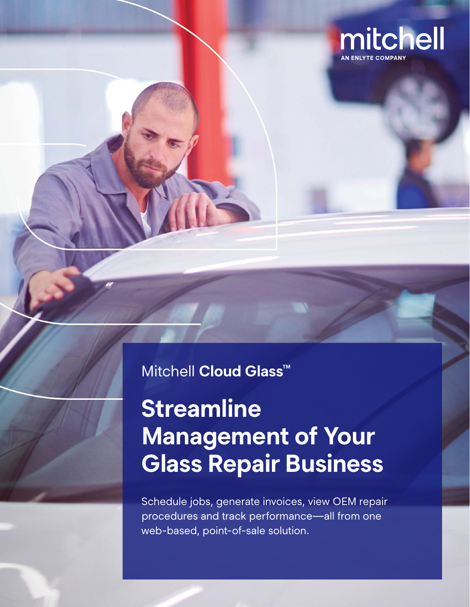

### Mitchell **Cloud Glass™**

## **Streamline Management of Your Glass Repair Business**

Schedule jobs, generate invoices, view OEM repair procedures and track performance—all from one web-based, point-of-sale solution.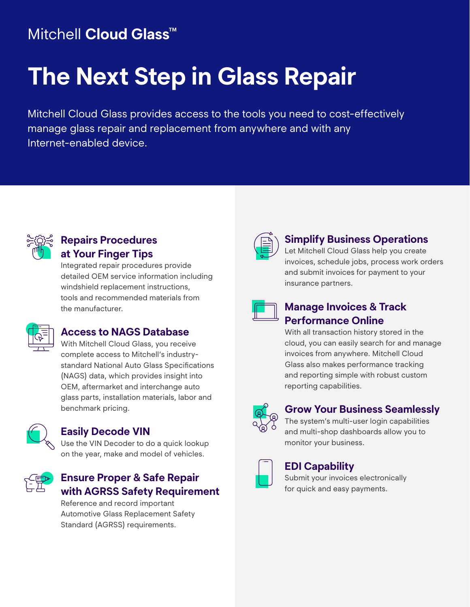## Mitchell **Cloud Glass™**

# **The Next Step in Glass Repair**

Mitchell Cloud Glass provides access to the tools you need to cost-effectively manage glass repair and replacement from anywhere and with any Internet-enabled device.



#### **Repairs Procedures at Your Finger Tips**

Integrated repair procedures provide detailed OEM service information including windshield replacement instructions, tools and recommended materials from the manufacturer.



#### **Access to NAGS Database**

With Mitchell Cloud Glass, you receive complete access to Mitchell's industrystandard National Auto Glass Specifications (NAGS) data, which provides insight into OEM, aftermarket and interchange auto glass parts, installation materials, labor and benchmark pricing.



#### **Easily Decode VIN**

Use the VIN Decoder to do a quick lookup on the year, make and model of vehicles.



#### **Ensure Proper & Safe Repair with AGRSS Safety Requirement**

Reference and record important Automotive Glass Replacement Safety Standard (AGRSS) requirements.



#### **Simplify Business Operations**

Let Mitchell Cloud Glass help you create invoices, schedule jobs, process work orders and submit invoices for payment to your insurance partners.



#### **Manage Invoices & Track Performance Online**

With all transaction history stored in the cloud, you can easily search for and manage invoices from anywhere. Mitchell Cloud Glass also makes performance tracking and reporting simple with robust custom reporting capabilities.



#### **Grow Your Business Seamlessly**

The system's multi-user login capabilities and multi-shop dashboards allow you to monitor your business.



#### **EDI Capability**

Submit your invoices electronically for quick and easy payments.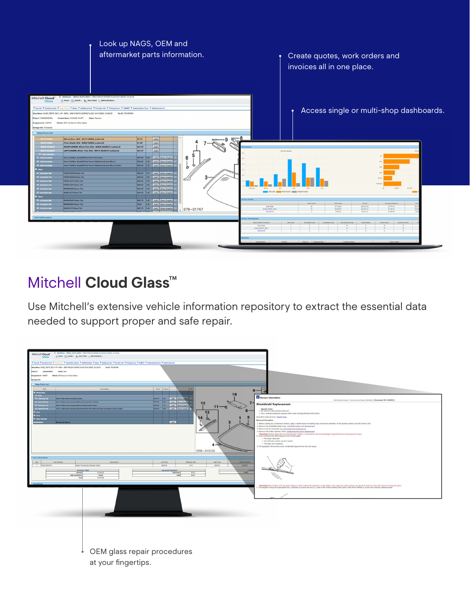

## Mitchell **Cloud Glass™**

Use Mitchell's extensive vehicle information repository to extract the essential data needed to support proper and safe repair.